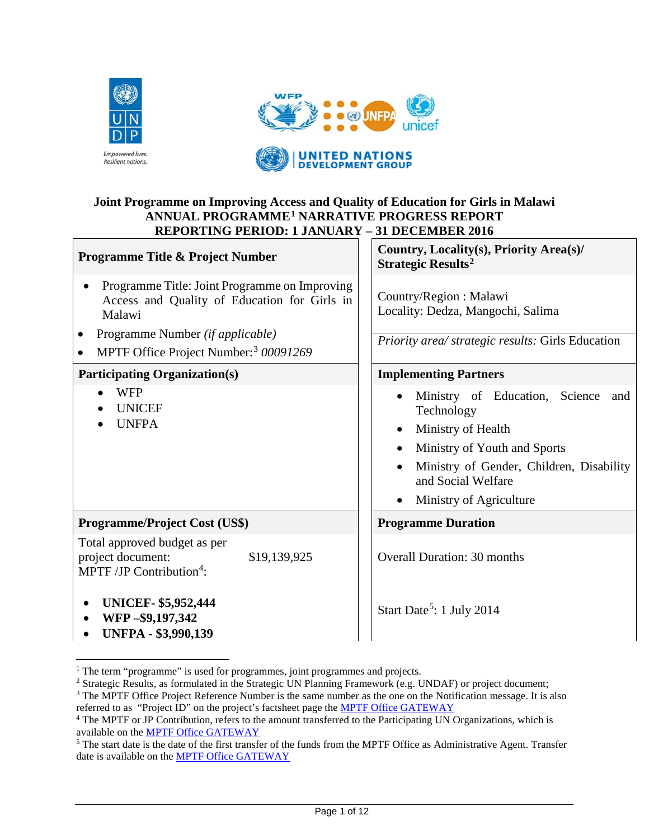



#### **Joint Programme on Improving Access and Quality of Education for Girls in Malawi ANNUAL PROGRAMME[1](#page-0-0) NARRATIVE PROGRESS REPORT REPORTING PERIOD: 1 JANUARY – 31 DECEMBER 2016**

| <b>Programme Title &amp; Project Number</b>                                                                                                                                                                                | Country, Locality(s), Priority Area(s)/<br><b>Strategic Results<sup>2</sup></b>                                                                                                                     |
|----------------------------------------------------------------------------------------------------------------------------------------------------------------------------------------------------------------------------|-----------------------------------------------------------------------------------------------------------------------------------------------------------------------------------------------------|
| Programme Title: Joint Programme on Improving<br>Access and Quality of Education for Girls in<br>Malawi<br>Programme Number (if applicable)<br>$\bullet$<br>MPTF Office Project Number: <sup>3</sup> 00091269<br>$\bullet$ | Country/Region: Malawi<br>Locality: Dedza, Mangochi, Salima<br>Priority area/ strategic results: Girls Education                                                                                    |
| <b>Participating Organization(s)</b>                                                                                                                                                                                       | <b>Implementing Partners</b>                                                                                                                                                                        |
| <b>WFP</b><br><b>UNICEF</b><br><b>UNFPA</b>                                                                                                                                                                                | Ministry of Education, Science and<br>Technology<br>Ministry of Health<br>Ministry of Youth and Sports<br>Ministry of Gender, Children, Disability<br>and Social Welfare<br>Ministry of Agriculture |
| <b>Programme/Project Cost (US\$)</b>                                                                                                                                                                                       | <b>Programme Duration</b>                                                                                                                                                                           |
| Total approved budget as per<br>project document:<br>\$19,139,925<br>MPTF/JP Contribution <sup>4</sup> :<br><b>UNICEF- \$5,952,444</b>                                                                                     | <b>Overall Duration: 30 months</b>                                                                                                                                                                  |
| WFP-\$9,197,342<br><b>UNFPA - \$3,990,139</b>                                                                                                                                                                              | Start Date <sup>5</sup> : 1 July 2014                                                                                                                                                               |

<span id="page-0-0"></span><sup>&</sup>lt;sup>1</sup> The term "programme" is used for programmes, joint programmes and projects.

<span id="page-0-2"></span><span id="page-0-1"></span><sup>&</sup>lt;sup>2</sup> Strategic Results, as formulated in the Strategic UN Planning Framework (e.g. UNDAF) or project document;<br><sup>3</sup> The MPTF Office Project Reference Number is the same number as the one on the Notification message. It is a referred to as "Project ID" on the project's factsheet page the [MPTF Office GATEWAY](http://mdtf.undp.org/)

<span id="page-0-3"></span><sup>&</sup>lt;sup>4</sup> The MPTF or JP Contribution, refers to the amount transferred to the Participating UN Organizations, which is available on the [MPTF Office GATEWAY](http://mdtf.undp.org/)

<span id="page-0-4"></span><sup>&</sup>lt;sup>5</sup> The start date is the date of the first transfer of the funds from the MPTF Office as Administrative Agent. Transfer date is available on the [MPTF Office GATEWAY](http://mdtf.undp.org/)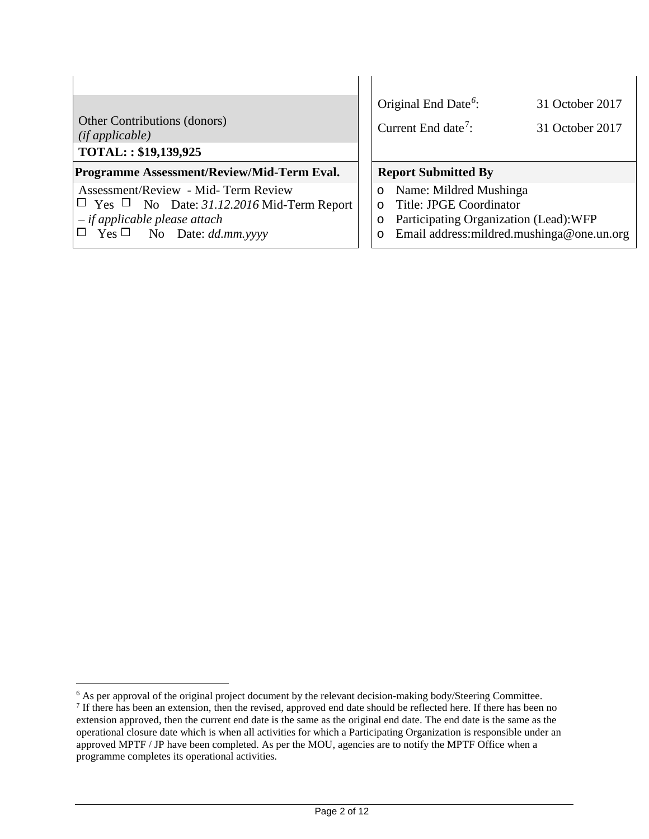| <b>Other Contributions (donors)</b><br>(ifappliedble)<br>TOTAL:: \$19,139,925<br>Programme Assessment/Review/Mid-Term Eval. | Original End Date <sup><math>6</math></sup> :<br>31 October 2017<br>Current End date <sup>7</sup> :<br>31 October 2017<br><b>Report Submitted By</b><br>Name: Mildred Mushinga<br>$\circ$ |
|-----------------------------------------------------------------------------------------------------------------------------|-------------------------------------------------------------------------------------------------------------------------------------------------------------------------------------------|
| Assessment/Review - Mid- Term Review<br>$\Box$ Yes $\Box$ No Date: 31.12.2016 Mid-Term Report                               | Title: JPGE Coordinator<br>$\Omega$                                                                                                                                                       |
| $-$ if applicable please attach<br>$Yes \Box$ No Date: dd.mm.yyyy                                                           | Participating Organization (Lead): WFP<br>$\circ$<br>Email address: mildred.mushinga@one.un.org<br>$\circ$                                                                                |

 $\overline{\phantom{a}}$ 

<span id="page-1-1"></span><span id="page-1-0"></span><sup>&</sup>lt;sup>6</sup> As per approval of the original project document by the relevant decision-making body/Steering Committee. <sup>7</sup> If there has been an extension, then the revised, approved end date should be reflected here. If there has been no extension approved, then the current end date is the same as the original end date. The end date is the same as the operational closure date which is when all activities for which a Participating Organization is responsible under an approved MPTF / JP have been completed. As per the MOU, agencies are to notify the MPTF Office when a programme completes its operational activities.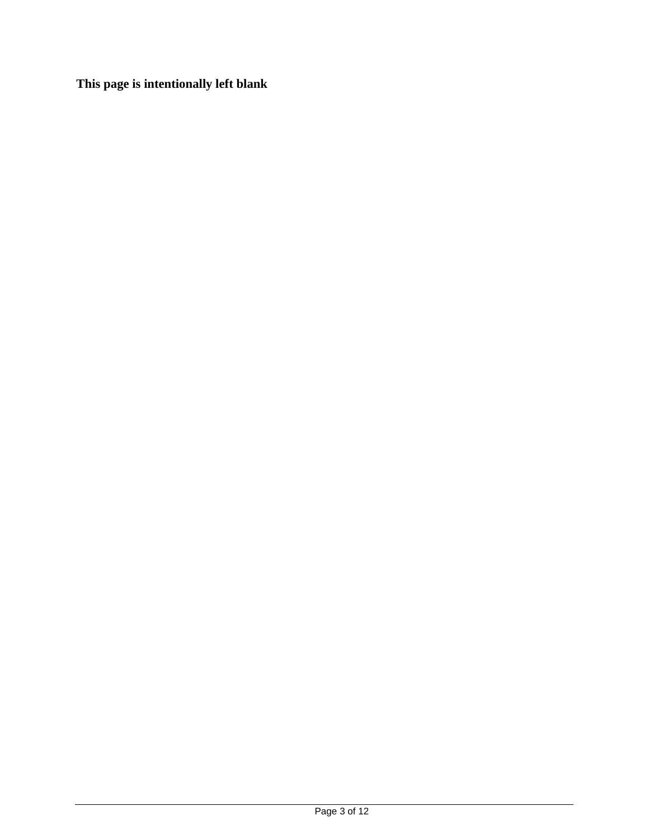**This page is intentionally left blank**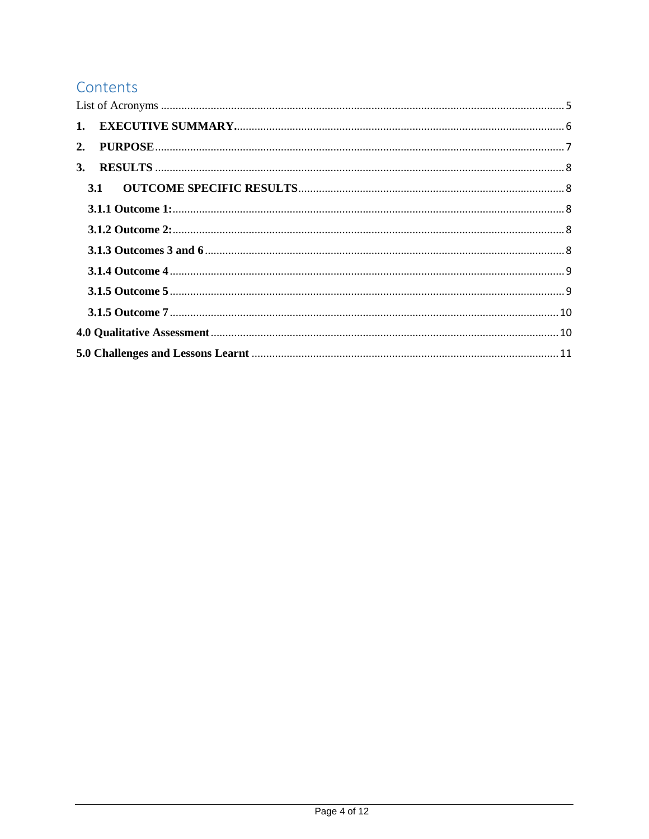# Contents

<span id="page-3-0"></span>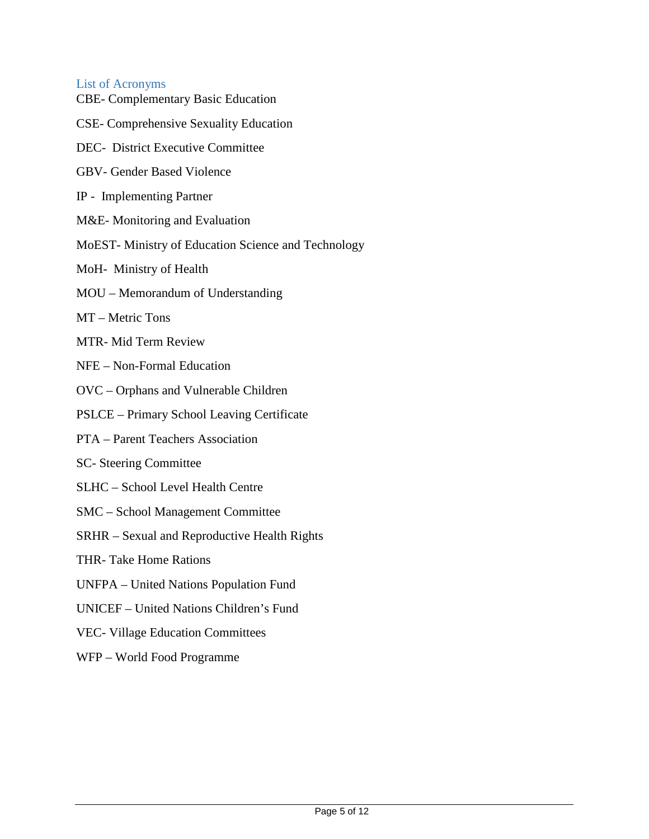#### List of Acronyms

- CBE- Complementary Basic Education
- CSE- Comprehensive Sexuality Education
- DEC- District Executive Committee
- GBV- Gender Based Violence
- IP Implementing Partner
- M&E- Monitoring and Evaluation
- MoEST- Ministry of Education Science and Technology
- MoH- Ministry of Health
- MOU Memorandum of Understanding
- MT Metric Tons
- MTR- Mid Term Review
- NFE Non-Formal Education
- OVC Orphans and Vulnerable Children
- PSLCE Primary School Leaving Certificate
- PTA Parent Teachers Association
- SC- Steering Committee
- SLHC School Level Health Centre
- SMC School Management Committee
- SRHR Sexual and Reproductive Health Rights
- THR- Take Home Rations
- UNFPA United Nations Population Fund
- UNICEF United Nations Children's Fund
- VEC- Village Education Committees
- WFP World Food Programme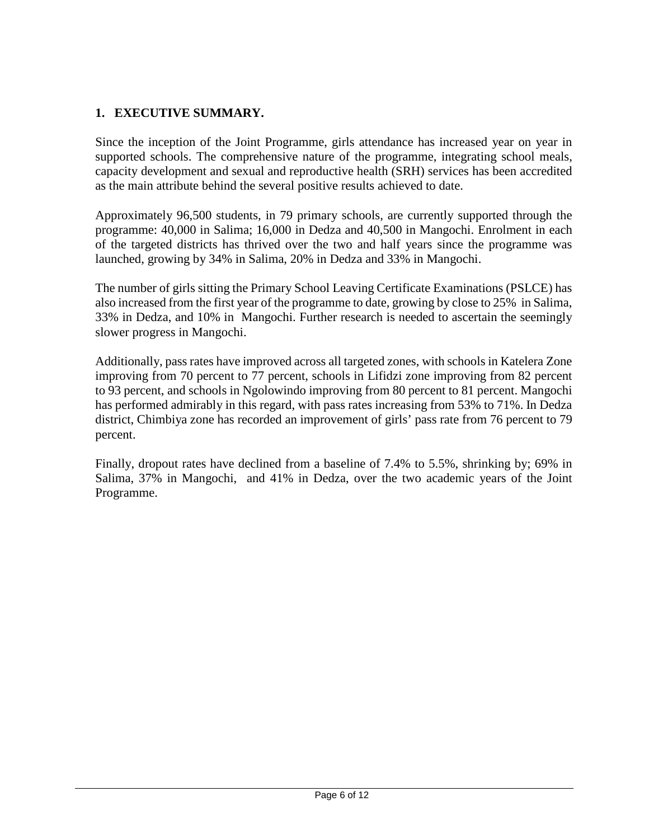## <span id="page-5-0"></span>**1. EXECUTIVE SUMMARY.**

Since the inception of the Joint Programme, girls attendance has increased year on year in supported schools. The comprehensive nature of the programme, integrating school meals, capacity development and sexual and reproductive health (SRH) services has been accredited as the main attribute behind the several positive results achieved to date.

Approximately 96,500 students, in 79 primary schools, are currently supported through the programme: 40,000 in Salima; 16,000 in Dedza and 40,500 in Mangochi. Enrolment in each of the targeted districts has thrived over the two and half years since the programme was launched, growing by 34% in Salima, 20% in Dedza and 33% in Mangochi.

The number of girls sitting the Primary School Leaving Certificate Examinations (PSLCE) has also increased from the first year of the programme to date, growing by close to 25% in Salima, 33% in Dedza, and 10% in Mangochi. Further research is needed to ascertain the seemingly slower progress in Mangochi.

Additionally, pass rates have improved across all targeted zones, with schools in Katelera Zone improving from 70 percent to 77 percent, schools in Lifidzi zone improving from 82 percent to 93 percent, and schools in Ngolowindo improving from 80 percent to 81 percent. Mangochi has performed admirably in this regard, with pass rates increasing from 53% to 71%. In Dedza district, Chimbiya zone has recorded an improvement of girls' pass rate from 76 percent to 79 percent.

<span id="page-5-1"></span>Finally, dropout rates have declined from a baseline of 7.4% to 5.5%, shrinking by; 69% in Salima, 37% in Mangochi, and 41% in Dedza, over the two academic years of the Joint Programme.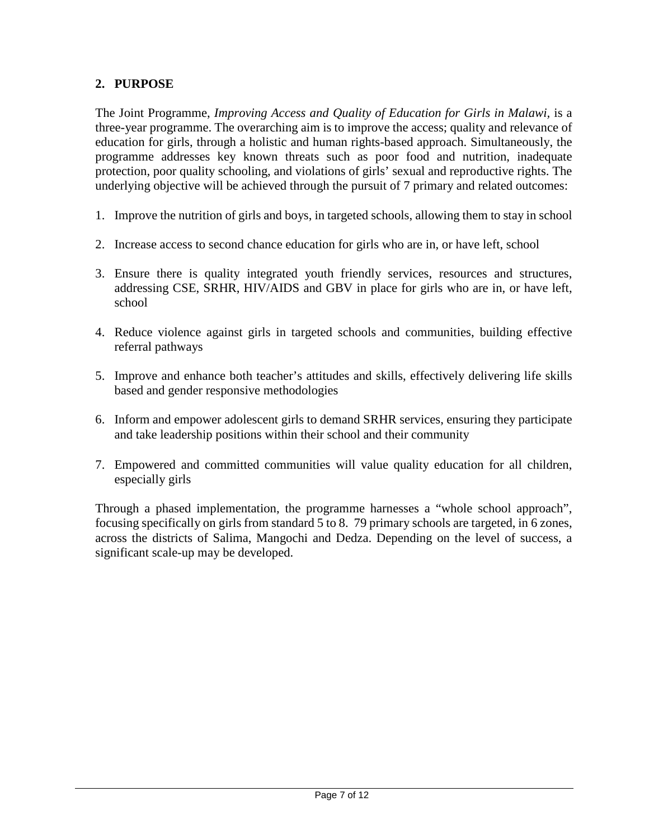## **2. PURPOSE**

The Joint Programme, *Improving Access and Quality of Education for Girls in Malawi,* is a three-year programme. The overarching aim is to improve the access; quality and relevance of education for girls, through a holistic and human rights-based approach. Simultaneously, the programme addresses key known threats such as poor food and nutrition, inadequate protection, poor quality schooling, and violations of girls' sexual and reproductive rights. The underlying objective will be achieved through the pursuit of 7 primary and related outcomes:

- 1. Improve the nutrition of girls and boys, in targeted schools, allowing them to stay in school
- 2. Increase access to second chance education for girls who are in, or have left, school
- 3. Ensure there is quality integrated youth friendly services, resources and structures, addressing CSE, SRHR, HIV/AIDS and GBV in place for girls who are in, or have left, school
- 4. Reduce violence against girls in targeted schools and communities, building effective referral pathways
- 5. Improve and enhance both teacher's attitudes and skills, effectively delivering life skills based and gender responsive methodologies
- 6. Inform and empower adolescent girls to demand SRHR services, ensuring they participate and take leadership positions within their school and their community
- 7. Empowered and committed communities will value quality education for all children, especially girls

Through a phased implementation, the programme harnesses a "whole school approach", focusing specifically on girls from standard 5 to 8. 79 primary schools are targeted, in 6 zones, across the districts of Salima, Mangochi and Dedza. Depending on the level of success, a significant scale-up may be developed.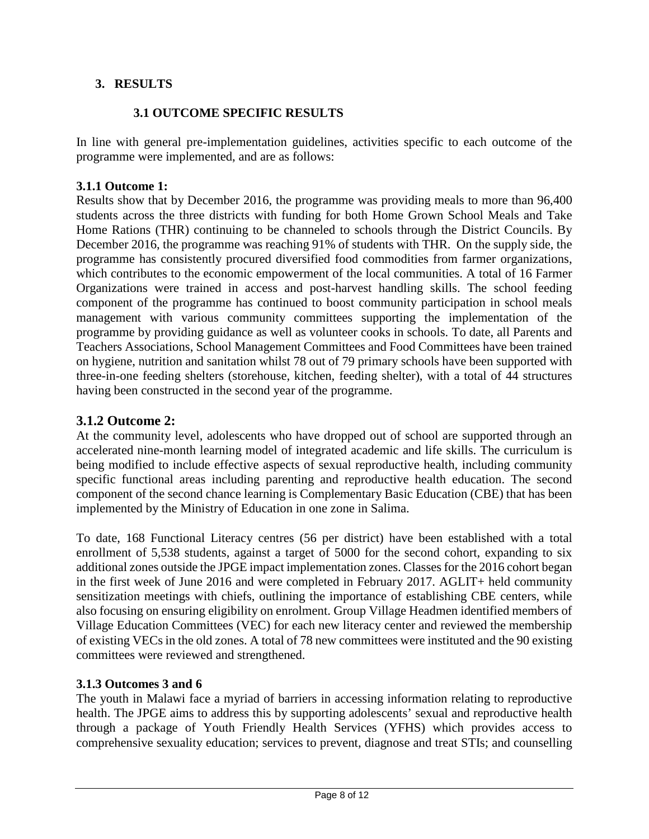## <span id="page-7-0"></span>**3. RESULTS**

#### **3.1 OUTCOME SPECIFIC RESULTS**

<span id="page-7-1"></span>In line with general pre-implementation guidelines, activities specific to each outcome of the programme were implemented, and are as follows:

#### <span id="page-7-2"></span>**3.1.1 Outcome 1:**

Results show that by December 2016, the programme was providing meals to more than 96,400 students across the three districts with funding for both Home Grown School Meals and Take Home Rations (THR) continuing to be channeled to schools through the District Councils. By December 2016, the programme was reaching 91% of students with THR. On the supply side, the programme has consistently procured diversified food commodities from farmer organizations, which contributes to the economic empowerment of the local communities. A total of 16 Farmer Organizations were trained in access and post-harvest handling skills. The school feeding component of the programme has continued to boost community participation in school meals management with various community committees supporting the implementation of the programme by providing guidance as well as volunteer cooks in schools. To date, all Parents and Teachers Associations, School Management Committees and Food Committees have been trained on hygiene, nutrition and sanitation whilst 78 out of 79 primary schools have been supported with three-in-one feeding shelters (storehouse, kitchen, feeding shelter), with a total of 44 structures having been constructed in the second year of the programme.

#### <span id="page-7-3"></span>**3.1.2 Outcome 2:**

At the community level, adolescents who have dropped out of school are supported through an accelerated nine-month learning model of integrated academic and life skills. The curriculum is being modified to include effective aspects of sexual reproductive health, including community specific functional areas including parenting and reproductive health education. The second component of the second chance learning is Complementary Basic Education (CBE) that has been implemented by the Ministry of Education in one zone in Salima.

To date, 168 Functional Literacy centres (56 per district) have been established with a total enrollment of 5,538 students, against a target of 5000 for the second cohort, expanding to six additional zones outside the JPGE impact implementation zones. Classes for the 2016 cohort began in the first week of June 2016 and were completed in February 2017. AGLIT+ held community sensitization meetings with chiefs, outlining the importance of establishing CBE centers, while also focusing on ensuring eligibility on enrolment. Group Village Headmen identified members of Village Education Committees (VEC) for each new literacy center and reviewed the membership of existing VECs in the old zones. A total of 78 new committees were instituted and the 90 existing committees were reviewed and strengthened.

#### <span id="page-7-4"></span>**3.1.3 Outcomes 3 and 6**

The youth in Malawi face a myriad of barriers in accessing information relating to reproductive health. The JPGE aims to address this by supporting adolescents' sexual and reproductive health through a package of Youth Friendly Health Services (YFHS) which provides access to comprehensive sexuality education; services to prevent, diagnose and treat STIs; and counselling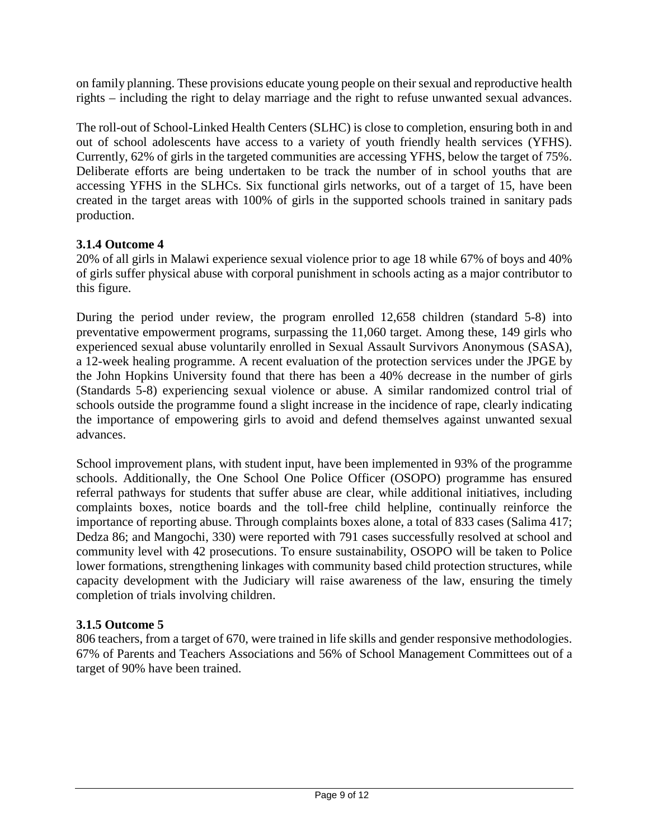on family planning. These provisions educate young people on their sexual and reproductive health rights – including the right to delay marriage and the right to refuse unwanted sexual advances.

The roll-out of School-Linked Health Centers (SLHC) is close to completion, ensuring both in and out of school adolescents have access to a variety of youth friendly health services (YFHS). Currently, 62% of girls in the targeted communities are accessing YFHS, below the target of 75%. Deliberate efforts are being undertaken to be track the number of in school youths that are accessing YFHS in the SLHCs. Six functional girls networks, out of a target of 15, have been created in the target areas with 100% of girls in the supported schools trained in sanitary pads production.

## <span id="page-8-0"></span>**3.1.4 Outcome 4**

20% of all girls in Malawi experience sexual violence prior to age 18 while 67% of boys and 40% of girls suffer physical abuse with corporal punishment in schools acting as a major contributor to this figure.

During the period under review, the program enrolled 12,658 children (standard 5-8) into preventative empowerment programs, surpassing the 11,060 target. Among these, 149 girls who experienced sexual abuse voluntarily enrolled in Sexual Assault Survivors Anonymous (SASA), a 12-week healing programme. A recent evaluation of the protection services under the JPGE by the John Hopkins University found that there has been a 40% decrease in the number of girls (Standards 5-8) experiencing sexual violence or abuse. A similar randomized control trial of schools outside the programme found a slight increase in the incidence of rape, clearly indicating the importance of empowering girls to avoid and defend themselves against unwanted sexual advances.

School improvement plans, with student input, have been implemented in 93% of the programme schools. Additionally, the One School One Police Officer (OSOPO) programme has ensured referral pathways for students that suffer abuse are clear, while additional initiatives, including complaints boxes, notice boards and the toll-free child helpline, continually reinforce the importance of reporting abuse. Through complaints boxes alone, a total of 833 cases (Salima 417; Dedza 86; and Mangochi, 330) were reported with 791 cases successfully resolved at school and community level with 42 prosecutions. To ensure sustainability, OSOPO will be taken to Police lower formations, strengthening linkages with community based child protection structures, while capacity development with the Judiciary will raise awareness of the law, ensuring the timely completion of trials involving children.

## <span id="page-8-1"></span>**3.1.5 Outcome 5**

<span id="page-8-2"></span>806 teachers, from a target of 670, were trained in life skills and gender responsive methodologies. 67% of Parents and Teachers Associations and 56% of School Management Committees out of a target of 90% have been trained.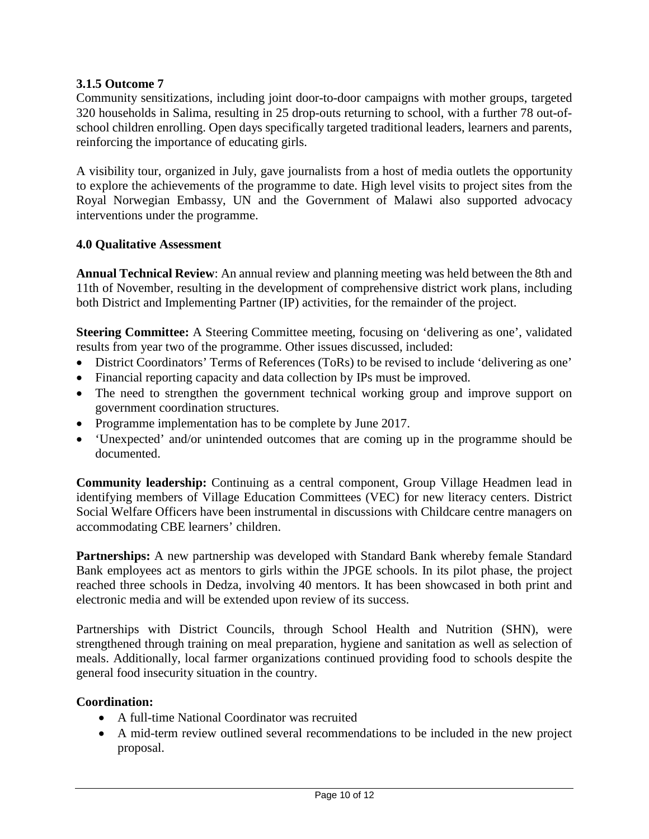### **3.1.5 Outcome 7**

Community sensitizations, including joint door-to-door campaigns with mother groups, targeted 320 households in Salima, resulting in 25 drop-outs returning to school, with a further 78 out-ofschool children enrolling. Open days specifically targeted traditional leaders, learners and parents, reinforcing the importance of educating girls.

A visibility tour, organized in July, gave journalists from a host of media outlets the opportunity to explore the achievements of the programme to date. High level visits to project sites from the Royal Norwegian Embassy, UN and the Government of Malawi also supported advocacy interventions under the programme.

#### <span id="page-9-0"></span>**4.0 Qualitative Assessment**

**Annual Technical Review**: An annual review and planning meeting was held between the 8th and 11th of November, resulting in the development of comprehensive district work plans, including both District and Implementing Partner (IP) activities, for the remainder of the project.

**Steering Committee:** A Steering Committee meeting, focusing on 'delivering as one', validated results from year two of the programme. Other issues discussed, included:

- District Coordinators' Terms of References (ToRs) to be revised to include 'delivering as one'
- Financial reporting capacity and data collection by IPs must be improved.
- The need to strengthen the government technical working group and improve support on government coordination structures.
- Programme implementation has to be complete by June 2017.
- 'Unexpected' and/or unintended outcomes that are coming up in the programme should be documented.

**Community leadership:** Continuing as a central component, Group Village Headmen lead in identifying members of Village Education Committees (VEC) for new literacy centers. District Social Welfare Officers have been instrumental in discussions with Childcare centre managers on accommodating CBE learners' children.

**Partnerships:** A new partnership was developed with Standard Bank whereby female Standard Bank employees act as mentors to girls within the JPGE schools. In its pilot phase, the project reached three schools in Dedza, involving 40 mentors. It has been showcased in both print and electronic media and will be extended upon review of its success.

Partnerships with District Councils, through School Health and Nutrition (SHN), were strengthened through training on meal preparation, hygiene and sanitation as well as selection of meals. Additionally, local farmer organizations continued providing food to schools despite the general food insecurity situation in the country.

#### **Coordination:**

- A full-time National Coordinator was recruited
- A mid-term review outlined several recommendations to be included in the new project proposal.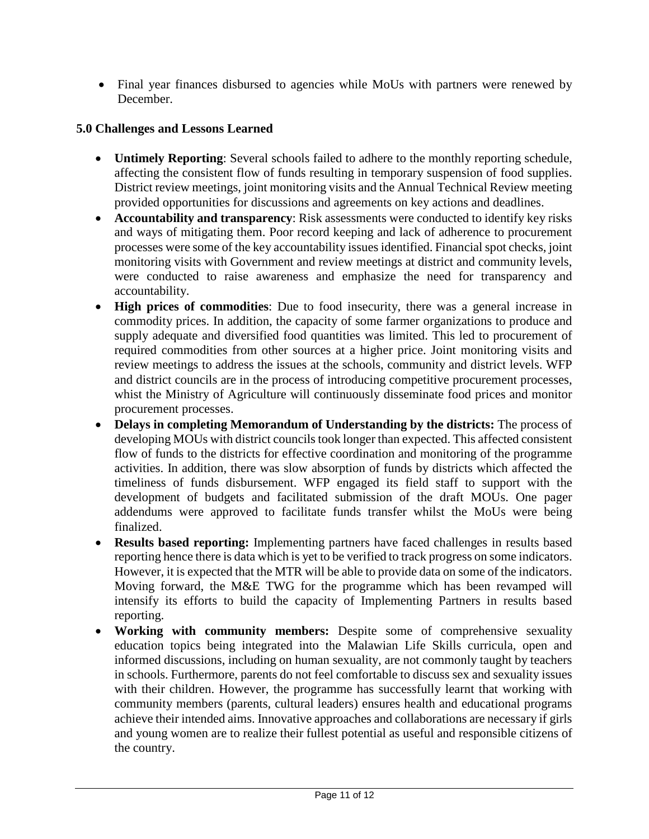• Final year finances disbursed to agencies while MoUs with partners were renewed by December.

#### <span id="page-10-0"></span>**5.0 Challenges and Lessons Learned**

- **Untimely Reporting**: Several schools failed to adhere to the monthly reporting schedule, affecting the consistent flow of funds resulting in temporary suspension of food supplies. District review meetings, joint monitoring visits and the Annual Technical Review meeting provided opportunities for discussions and agreements on key actions and deadlines.
- **Accountability and transparency**: Risk assessments were conducted to identify key risks and ways of mitigating them. Poor record keeping and lack of adherence to procurement processes were some of the key accountability issues identified. Financial spot checks, joint monitoring visits with Government and review meetings at district and community levels, were conducted to raise awareness and emphasize the need for transparency and accountability.
- **High prices of commodities**: Due to food insecurity, there was a general increase in commodity prices. In addition, the capacity of some farmer organizations to produce and supply adequate and diversified food quantities was limited. This led to procurement of required commodities from other sources at a higher price. Joint monitoring visits and review meetings to address the issues at the schools, community and district levels. WFP and district councils are in the process of introducing competitive procurement processes, whist the Ministry of Agriculture will continuously disseminate food prices and monitor procurement processes.
- **Delays in completing Memorandum of Understanding by the districts:** The process of developing MOUs with district councils took longer than expected. This affected consistent flow of funds to the districts for effective coordination and monitoring of the programme activities. In addition, there was slow absorption of funds by districts which affected the timeliness of funds disbursement. WFP engaged its field staff to support with the development of budgets and facilitated submission of the draft MOUs. One pager addendums were approved to facilitate funds transfer whilst the MoUs were being finalized.
- **Results based reporting:** Implementing partners have faced challenges in results based reporting hence there is data which is yet to be verified to track progress on some indicators. However, it is expected that the MTR will be able to provide data on some of the indicators. Moving forward, the M&E TWG for the programme which has been revamped will intensify its efforts to build the capacity of Implementing Partners in results based reporting.
- **Working with community members:** Despite some of comprehensive sexuality education topics being integrated into the Malawian Life Skills curricula, open and informed discussions, including on human sexuality, are not commonly taught by teachers in schools. Furthermore, parents do not feel comfortable to discuss sex and sexuality issues with their children. However, the programme has successfully learnt that working with community members (parents, cultural leaders) ensures health and educational programs achieve their intended aims. Innovative approaches and collaborations are necessary if girls and young women are to realize their fullest potential as useful and responsible citizens of the country.